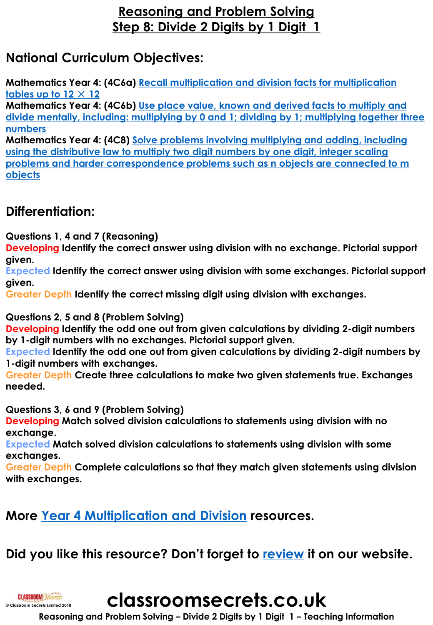## **Reasoning and Problem Solving Step 8: Divide 2 Digits by 1 Digit 1**

# **National Curriculum Objectives:**

**Mathematics Year 4: (4C6a) [Recall multiplication and division facts for multiplication](https://classroomsecrets.co.uk/content-domain-filter/?fwp_contentdomain=4c6a)  tables up to 12** × **12**

**Mathematics Year 4: (4C6b) Use place value, known and derived facts to multiply and [divide mentally, including: multiplying by 0 and 1; dividing by 1; multiplying together three](https://classroomsecrets.co.uk/content-domain-filter/?fwp_contentdomain=4c6b) numbers**

**Mathematics Year 4: (4C8) Solve problems involving multiplying and adding, including using the distributive law to multiply two digit numbers by one digit, integer scaling [problems and harder correspondence problems such as n objects are connected to m](https://classroomsecrets.co.uk/content-domain-filter/?fwp_contentdomain=4c8)  objects**

# **Differentiation:**

**Questions 1, 4 and 7 (Reasoning)**

**Developing Identify the correct answer using division with no exchange. Pictorial support given.**

**Expected Identify the correct answer using division with some exchanges. Pictorial support given.**

**Greater Depth Identify the correct missing digit using division with exchanges.**

## **Questions 2, 5 and 8 (Problem Solving)**

**Developing Identify the odd one out from given calculations by dividing 2-digit numbers by 1-digit numbers with no exchanges. Pictorial support given.** 

**Expected Identify the odd one out from given calculations by dividing 2-digit numbers by 1-digit numbers with exchanges.** 

**Greater Depth Create three calculations to make two given statements true. Exchanges needed.** 

**Questions 3, 6 and 9 (Problem Solving)**

**Developing Match solved division calculations to statements using division with no exchange.** 

**Expected Match solved division calculations to statements using division with some exchanges.**

**Greater Depth Complete calculations so that they match given statements using division with exchanges.** 

## **More [Year 4 Multiplication and Division](https://classroomsecrets.co.uk/category/maths/year-4/spring-block-1-multiplication-and-division-year-4/) resources.**

# **Did you like this resource? Don't forget to [review](https://classroomsecrets.co.uk/divide-2-digits-by-1-digit-1-year-4-multiplication-and-division-resource-pack) it on our website.**



**classroomsecrets.co.uk**

**Reasoning and Problem Solving – Divide 2 Digits by 1 Digit 1 – Teaching Information**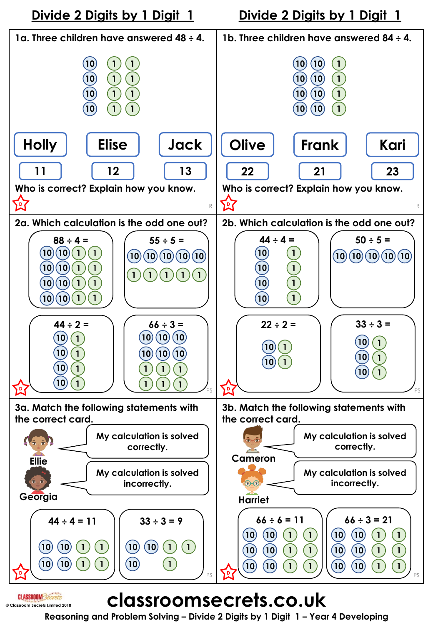

# **classroomsecrets.co.uk**

**© Classroom Secrets Limited 2018**

**CLASSROOM** Secrets

**Reasoning and Problem Solving – Divide 2 Digits by 1 Digit 1 – Year 4 Developing**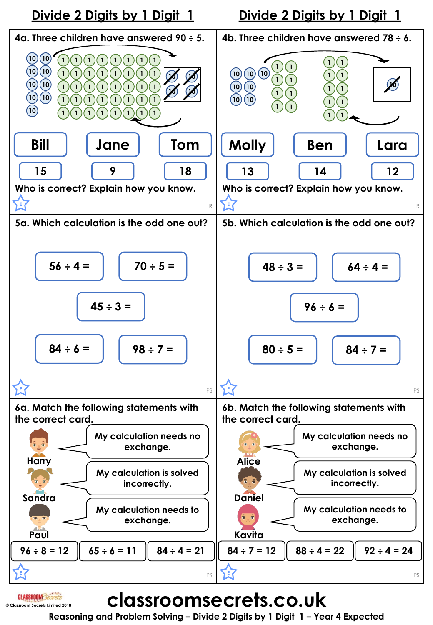

# **classroomsecrets.co.uk**

**© Classroom Secrets Limited 2018**

**Reasoning and Problem Solving – Divide 2 Digits by 1 Digit 1 – Year 4 Expected**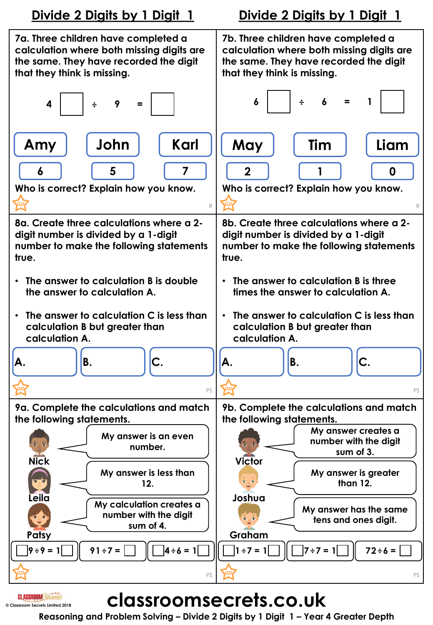

# **classroomsecrets.co.uk**

**© Classroom Secrets Limited 2018**

**CLASSROOM** Secrets

**Reasoning and Problem Solving – Divide 2 Digits by 1 Digit 1 – Year 4 Greater Depth**